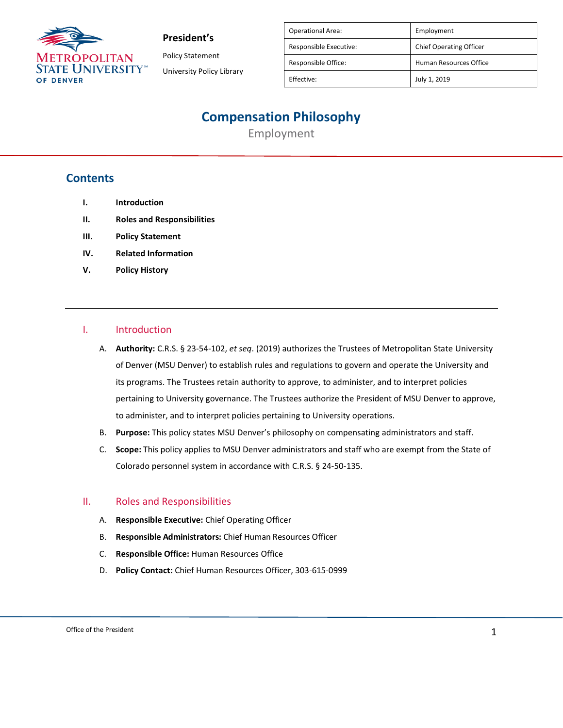

Policy Statement University Policy Library

| <b>Operational Area:</b> | Employment                     |
|--------------------------|--------------------------------|
| Responsible Executive:   | <b>Chief Operating Officer</b> |
| Responsible Office:      | Human Resources Office         |
| Effective:               | July 1, 2019                   |

## **Compensation Philosophy**

Employment

### **Contents**

- **I. Introduction**
- **II. Roles and Responsibilities**
- **III. Policy Statement**
- **IV. Related Information**
- **V. Policy History**

#### I. Introduction

- A. **Authority:** C.R.S. § 23-54-102, *et seq*. (2019) authorizes the Trustees of Metropolitan State University of Denver (MSU Denver) to establish rules and regulations to govern and operate the University and its programs. The Trustees retain authority to approve, to administer, and to interpret policies pertaining to University governance. The Trustees authorize the President of MSU Denver to approve, to administer, and to interpret policies pertaining to University operations.
- B. **Purpose:** This policy states MSU Denver's philosophy on compensating administrators and staff.
- C. **Scope:** This policy applies to MSU Denver administrators and staff who are exempt from the State of Colorado personnel system in accordance with C.R.S. § 24-50-135.

#### II. Roles and Responsibilities

- A. **Responsible Executive:** Chief Operating Officer
- B. **Responsible Administrators:** Chief Human Resources Officer
- C. **Responsible Office:** Human Resources Office
- D. **Policy Contact:** Chief Human Resources Officer, 303-615-0999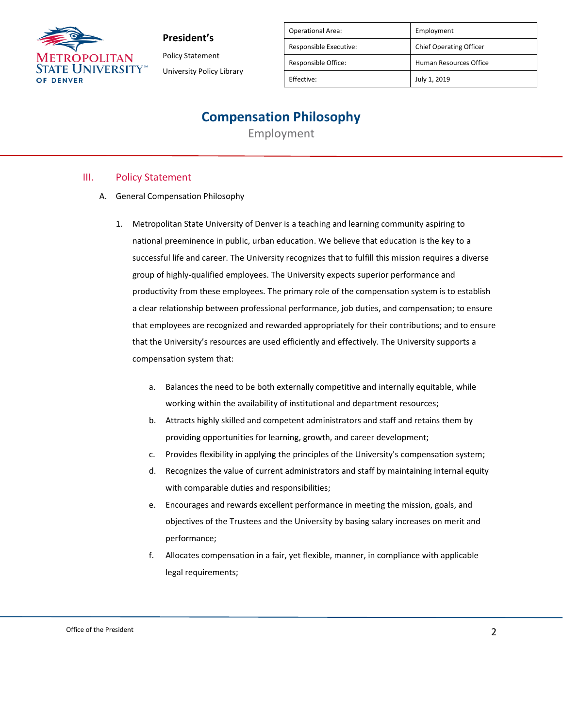

Policy Statement University Policy Library

| <b>Operational Area:</b> | Employment                     |
|--------------------------|--------------------------------|
| Responsible Executive:   | <b>Chief Operating Officer</b> |
| Responsible Office:      | Human Resources Office         |
| Effective:               | July 1, 2019                   |

### **Compensation Philosophy**

Employment

### III. Policy Statement

- A. General Compensation Philosophy
	- 1. Metropolitan State University of Denver is a teaching and learning community aspiring to national preeminence in public, urban education. We believe that education is the key to a successful life and career. The University recognizes that to fulfill this mission requires a diverse group of highly-qualified employees. The University expects superior performance and productivity from these employees. The primary role of the compensation system is to establish a clear relationship between professional performance, job duties, and compensation; to ensure that employees are recognized and rewarded appropriately for their contributions; and to ensure that the University's resources are used efficiently and effectively. The University supports a compensation system that:
		- a. Balances the need to be both externally competitive and internally equitable, while working within the availability of institutional and department resources;
		- b. Attracts highly skilled and competent administrators and staff and retains them by providing opportunities for learning, growth, and career development;
		- c. Provides flexibility in applying the principles of the University's compensation system;
		- d. Recognizes the value of current administrators and staff by maintaining internal equity with comparable duties and responsibilities;
		- e. Encourages and rewards excellent performance in meeting the mission, goals, and objectives of the Trustees and the University by basing salary increases on merit and performance;
		- f. Allocates compensation in a fair, yet flexible, manner, in compliance with applicable legal requirements;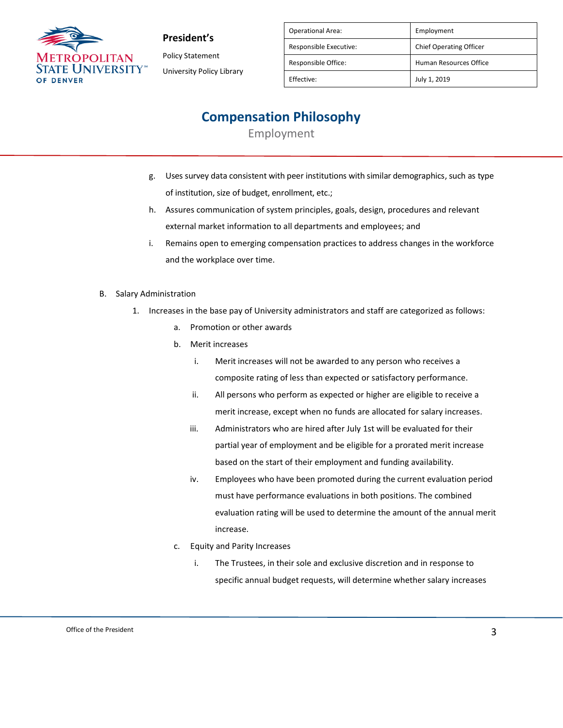

Policy Statement University Policy Library

| <b>Operational Area:</b> | Employment                     |
|--------------------------|--------------------------------|
| Responsible Executive:   | <b>Chief Operating Officer</b> |
| Responsible Office:      | Human Resources Office         |
| Effective:               | July 1, 2019                   |
|                          |                                |

# **Compensation Philosophy**

Employment

- g. Uses survey data consistent with peer institutions with similar demographics, such as type of institution, size of budget, enrollment, etc.;
- h. Assures communication of system principles, goals, design, procedures and relevant external market information to all departments and employees; and
- i. Remains open to emerging compensation practices to address changes in the workforce and the workplace over time.
- B. Salary Administration
	- 1. Increases in the base pay of University administrators and staff are categorized as follows:
		- a. Promotion or other awards
		- b. Merit increases
			- i. Merit increases will not be awarded to any person who receives a composite rating of less than expected or satisfactory performance.
			- ii. All persons who perform as expected or higher are eligible to receive a merit increase, except when no funds are allocated for salary increases.
			- iii. Administrators who are hired after July 1st will be evaluated for their partial year of employment and be eligible for a prorated merit increase based on the start of their employment and funding availability.
			- iv. Employees who have been promoted during the current evaluation period must have performance evaluations in both positions. The combined evaluation rating will be used to determine the amount of the annual merit increase.
		- c. Equity and Parity Increases
			- i. The Trustees, in their sole and exclusive discretion and in response to specific annual budget requests, will determine whether salary increases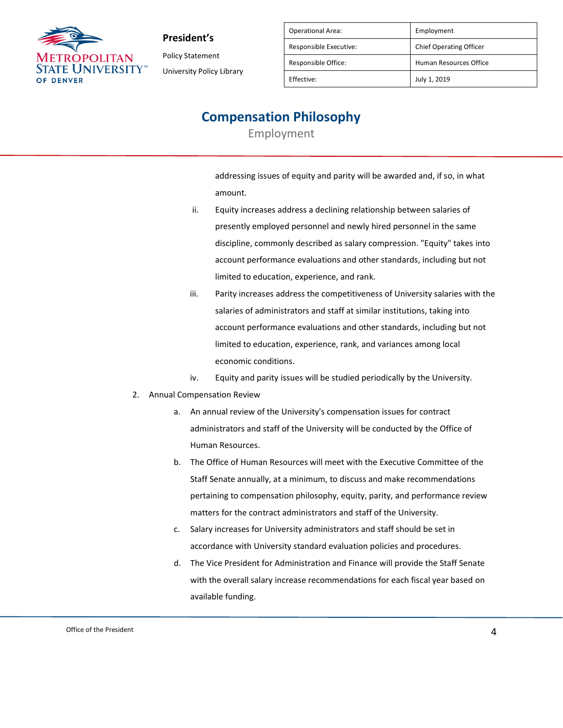

Policy Statement University Policy Library

| <b>Operational Area:</b> | Employment                     |
|--------------------------|--------------------------------|
| Responsible Executive:   | <b>Chief Operating Officer</b> |
| Responsible Office:      | Human Resources Office         |
| Effective:               | July 1, 2019                   |

### **Compensation Philosophy**

Employment

addressing issues of equity and parity will be awarded and, if so, in what amount.

- ii. Equity increases address a declining relationship between salaries of presently employed personnel and newly hired personnel in the same discipline, commonly described as salary compression. "Equity" takes into account performance evaluations and other standards, including but not limited to education, experience, and rank.
- iii. Parity increases address the competitiveness of University salaries with the salaries of administrators and staff at similar institutions, taking into account performance evaluations and other standards, including but not limited to education, experience, rank, and variances among local economic conditions.
- iv. Equity and parity issues will be studied periodically by the University.
- 2. Annual Compensation Review
	- a. An annual review of the University's compensation issues for contract administrators and staff of the University will be conducted by the Office of Human Resources.
	- b. The Office of Human Resources will meet with the Executive Committee of the Staff Senate annually, at a minimum, to discuss and make recommendations pertaining to compensation philosophy, equity, parity, and performance review matters for the contract administrators and staff of the University.
	- c. Salary increases for University administrators and staff should be set in accordance with University standard evaluation policies and procedures.
	- d. The Vice President for Administration and Finance will provide the Staff Senate with the overall salary increase recommendations for each fiscal year based on available funding.